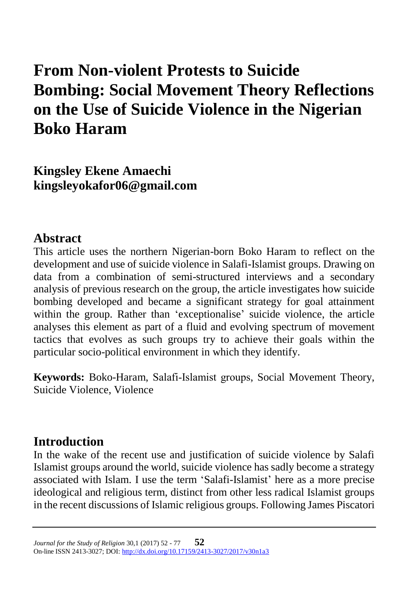# **From Non-violent Protests to Suicide Bombing: Social Movement Theory Reflections on the Use of Suicide Violence in the Nigerian Boko Haram**

**Kingsley Ekene Amaechi kingsleyokafor06@gmail.com**

#### **Abstract**

This article uses the northern Nigerian-born Boko Haram to reflect on the development and use of suicide violence in Salafi-Islamist groups. Drawing on data from a combination of semi-structured interviews and a secondary analysis of previous research on the group, the article investigates how suicide bombing developed and became a significant strategy for goal attainment within the group. Rather than 'exceptionalise' suicide violence, the article analyses this element as part of a fluid and evolving spectrum of movement tactics that evolves as such groups try to achieve their goals within the particular socio-political environment in which they identify.

**Keywords:** Boko-Haram, Salafi-Islamist groups, Social Movement Theory, Suicide Violence, Violence

### **Introduction**

In the wake of the recent use and justification of suicide violence by Salafi Islamist groups around the world, suicide violence has sadly become a strategy associated with Islam. I use the term 'Salafi-Islamist' here as a more precise ideological and religious term, distinct from other less radical Islamist groups in the recent discussions of Islamic religious groups. Following James Piscatori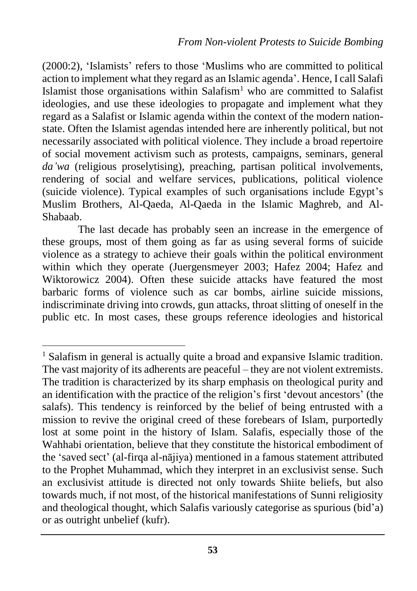(2000:2), 'Islamists' refers to those 'Muslims who are committed to political action to implement what they regard as an Islamic agenda'. Hence, I call Salafi Islamist those organisations within Salafism<sup>1</sup> who are committed to Salafist ideologies, and use these ideologies to propagate and implement what they regard as a Salafist or Islamic agenda within the context of the modern nationstate. Often the Islamist agendas intended here are inherently political, but not necessarily associated with political violence. They include a broad repertoire of social movement activism such as protests, campaigns, seminars, general da'wa (religious proselytising), preaching, partisan political involvements, rendering of social and welfare services, publications, political violence (suicide violence). Typical examples of such organisations include Egypt's Muslim Brothers, Al-Qaeda, Al-Qaeda in the Islamic Maghreb, and Al-Shabaab.

The last decade has probably seen an increase in the emergence of these groups, most of them going as far as using several forms of suicide violence as a strategy to achieve their goals within the political environment within which they operate (Juergensmeyer 2003; Hafez 2004; Hafez and Wiktorowicz 2004). Often these suicide attacks have featured the most barbaric forms of violence such as car bombs, airline suicide missions, indiscriminate driving into crowds, gun attacks, throat slitting of oneself in the public etc. In most cases, these groups reference ideologies and historical

 $\overline{a}$ <sup>1</sup> Salafism in general is actually quite a broad and expansive Islamic tradition. The vast majority of its adherents are peaceful – they are not violent extremists. The tradition is characterized by its sharp emphasis on theological purity and an identification with the practice of the religion's first 'devout ancestors' (the salafs). This tendency is reinforced by the belief of being entrusted with a mission to revive the original creed of these forebears of Islam, purportedly lost at some point in the history of Islam. Salafis, especially those of the Wahhabi orientation, believe that they constitute the historical embodiment of the 'saved sect' (al-firqa al-nājiya) mentioned in a famous statement attributed to the Prophet Muhammad, which they interpret in an exclusivist sense. Such an exclusivist attitude is directed not only towards Shiite beliefs, but also towards much, if not most, of the historical manifestations of Sunni religiosity and theological thought, which Salafis variously categorise as spurious (bid'a) or as outright unbelief (kufr).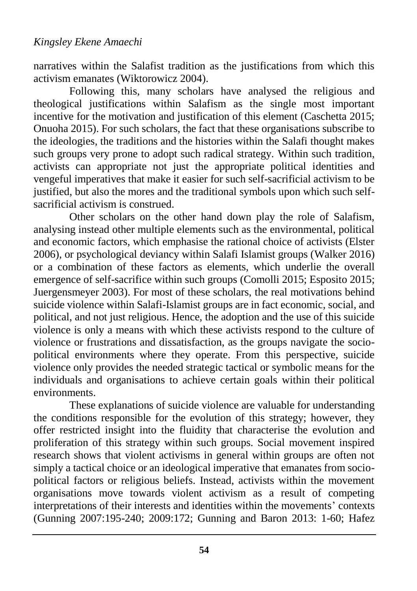narratives within the Salafist tradition as the justifications from which this activism emanates (Wiktorowicz 2004).

Following this, many scholars have analysed the religious and theological justifications within Salafism as the single most important incentive for the motivation and justification of this element (Caschetta 2015; Onuoha 2015). For such scholars, the fact that these organisations subscribe to the ideologies, the traditions and the histories within the Salafi thought makes such groups very prone to adopt such radical strategy. Within such tradition, activists can appropriate not just the appropriate political identities and vengeful imperatives that make it easier for such self-sacrificial activism to be justified, but also the mores and the traditional symbols upon which such selfsacrificial activism is construed.

Other scholars on the other hand down play the role of Salafism, analysing instead other multiple elements such as the environmental, political and economic factors, which emphasise the rational choice of activists (Elster 2006), or psychological deviancy within Salafi Islamist groups (Walker 2016) or a combination of these factors as elements, which underlie the overall emergence of self-sacrifice within such groups (Comolli 2015; Esposito 2015; Juergensmeyer 2003). For most of these scholars, the real motivations behind suicide violence within Salafi-Islamist groups are in fact economic, social, and political, and not just religious. Hence, the adoption and the use of this suicide violence is only a means with which these activists respond to the culture of violence or frustrations and dissatisfaction, as the groups navigate the sociopolitical environments where they operate. From this perspective, suicide violence only provides the needed strategic tactical or symbolic means for the individuals and organisations to achieve certain goals within their political environments.

These explanations of suicide violence are valuable for understanding the conditions responsible for the evolution of this strategy; however, they offer restricted insight into the fluidity that characterise the evolution and proliferation of this strategy within such groups. Social movement inspired research shows that violent activisms in general within groups are often not simply a tactical choice or an ideological imperative that emanates from sociopolitical factors or religious beliefs. Instead, activists within the movement organisations move towards violent activism as a result of competing interpretations of their interests and identities within the movements' contexts (Gunning 2007:195-240; 2009:172; Gunning and Baron 2013: 1-60; Hafez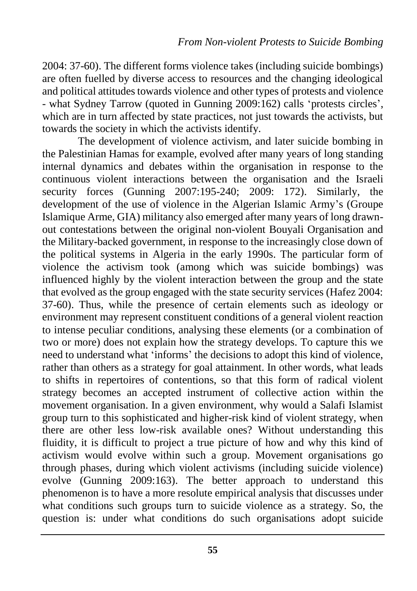2004: 37-60). The different forms violence takes (including suicide bombings) are often fuelled by diverse access to resources and the changing ideological and political attitudes towards violence and other types of protests and violence - what Sydney Tarrow (quoted in Gunning 2009:162) calls 'protests circles', which are in turn affected by state practices, not just towards the activists, but towards the society in which the activists identify.

The development of violence activism, and later suicide bombing in the Palestinian Hamas for example, evolved after many years of long standing internal dynamics and debates within the organisation in response to the continuous violent interactions between the organisation and the Israeli security forces (Gunning 2007:195-240; 2009: 172). Similarly, the development of the use of violence in the Algerian Islamic Army's (Groupe Islamique Arme, GIA) militancy also emerged after many years of long drawnout contestations between the original non-violent Bouyali Organisation and the Military-backed government, in response to the increasingly close down of the political systems in Algeria in the early 1990s. The particular form of violence the activism took (among which was suicide bombings) was influenced highly by the violent interaction between the group and the state that evolved as the group engaged with the state security services (Hafez 2004: 37-60). Thus, while the presence of certain elements such as ideology or environment may represent constituent conditions of a general violent reaction to intense peculiar conditions, analysing these elements (or a combination of two or more) does not explain how the strategy develops. To capture this we need to understand what 'informs' the decisions to adopt this kind of violence, rather than others as a strategy for goal attainment. In other words, what leads to shifts in repertoires of contentions, so that this form of radical violent strategy becomes an accepted instrument of collective action within the movement organisation. In a given environment, why would a Salafi Islamist group turn to this sophisticated and higher-risk kind of violent strategy, when there are other less low-risk available ones? Without understanding this fluidity, it is difficult to project a true picture of how and why this kind of activism would evolve within such a group. Movement organisations go through phases, during which violent activisms (including suicide violence) evolve (Gunning 2009:163). The better approach to understand this phenomenon is to have a more resolute empirical analysis that discusses under what conditions such groups turn to suicide violence as a strategy. So, the question is: under what conditions do such organisations adopt suicide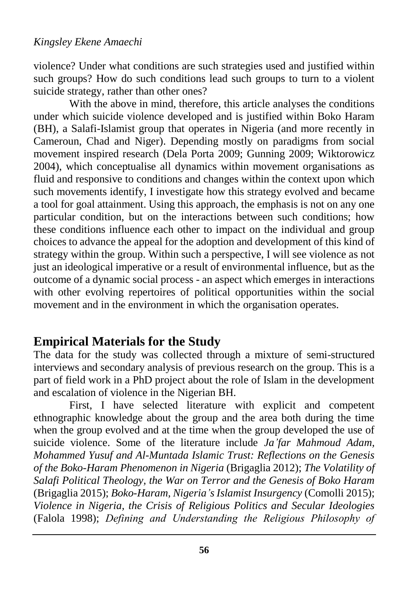violence? Under what conditions are such strategies used and justified within such groups? How do such conditions lead such groups to turn to a violent suicide strategy, rather than other ones?

With the above in mind, therefore, this article analyses the conditions under which suicide violence developed and is justified within Boko Haram (BH), a Salafi-Islamist group that operates in Nigeria (and more recently in Cameroun, Chad and Niger). Depending mostly on paradigms from social movement inspired research (Dela Porta 2009; Gunning 2009; Wiktorowicz 2004), which conceptualise all dynamics within movement organisations as fluid and responsive to conditions and changes within the context upon which such movements identify, I investigate how this strategy evolved and became a tool for goal attainment. Using this approach, the emphasis is not on any one particular condition, but on the interactions between such conditions; how these conditions influence each other to impact on the individual and group choices to advance the appeal for the adoption and development of this kind of strategy within the group. Within such a perspective, I will see violence as not just an ideological imperative or a result of environmental influence, but as the outcome of a dynamic social process - an aspect which emerges in interactions with other evolving repertoires of political opportunities within the social movement and in the environment in which the organisation operates.

## **Empirical Materials for the Study**

The data for the study was collected through a mixture of semi-structured interviews and secondary analysis of previous research on the group. This is a part of field work in a PhD project about the role of Islam in the development and escalation of violence in the Nigerian BH.

First, I have selected literature with explicit and competent ethnographic knowledge about the group and the area both during the time when the group evolved and at the time when the group developed the use of suicide violence. Some of the literature include *Ja'far Mahmoud Adam, Mohammed Yusuf and Al-Muntada Islamic Trust: Reflections on the Genesis of the Boko-Haram Phenomenon in Nigeria* (Brigaglia 2012); *The Volatility of Salafi Political Theology, the War on Terror and the Genesis of Boko Haram* (Brigaglia 2015); *Boko-Haram, Nigeria's Islamist Insurgency* (Comolli 2015); *Violence in Nigeria, the Crisis of Religious Politics and Secular Ideologies* (Falola 1998); *Defining and Understanding the Religious Philosophy of*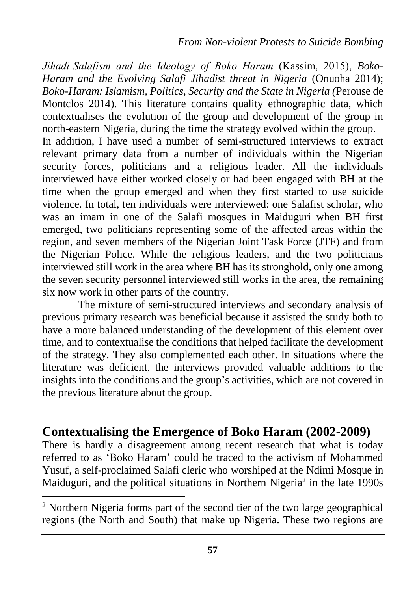*Jihadi-Salafism and the Ideology of Boko Haram* (Kassim, 2015), *Boko-Haram and the Evolving Salafi Jihadist threat in Nigeria* (Onuoha 2014); *Boko-Haram: Islamism, Politics, Security and the State in Nigeria (*Perouse de Montclos 2014). This literature contains quality ethnographic data, which contextualises the evolution of the group and development of the group in north-eastern Nigeria, during the time the strategy evolved within the group.

In addition, I have used a number of semi-structured interviews to extract relevant primary data from a number of individuals within the Nigerian security forces, politicians and a religious leader. All the individuals interviewed have either worked closely or had been engaged with BH at the time when the group emerged and when they first started to use suicide violence. In total, ten individuals were interviewed: one Salafist scholar, who was an imam in one of the Salafi mosques in Maiduguri when BH first emerged, two politicians representing some of the affected areas within the region, and seven members of the Nigerian Joint Task Force (JTF) and from the Nigerian Police. While the religious leaders, and the two politicians interviewed still work in the area where BH has its stronghold, only one among the seven security personnel interviewed still works in the area, the remaining six now work in other parts of the country.

The mixture of semi-structured interviews and secondary analysis of previous primary research was beneficial because it assisted the study both to have a more balanced understanding of the development of this element over time, and to contextualise the conditions that helped facilitate the development of the strategy. They also complemented each other. In situations where the literature was deficient, the interviews provided valuable additions to the insights into the conditions and the group's activities, which are not covered in the previous literature about the group.

### **Contextualising the Emergence of Boko Haram (2002-2009)**

There is hardly a disagreement among recent research that what is today referred to as 'Boko Haram' could be traced to the activism of Mohammed Yusuf, a self-proclaimed Salafi cleric who worshiped at the Ndimi Mosque in Maiduguri, and the political situations in Northern Nigeria<sup>2</sup> in the late  $1990s$ 

<sup>2</sup> Northern Nigeria forms part of the second tier of the two large geographical regions (the North and South) that make up Nigeria. These two regions are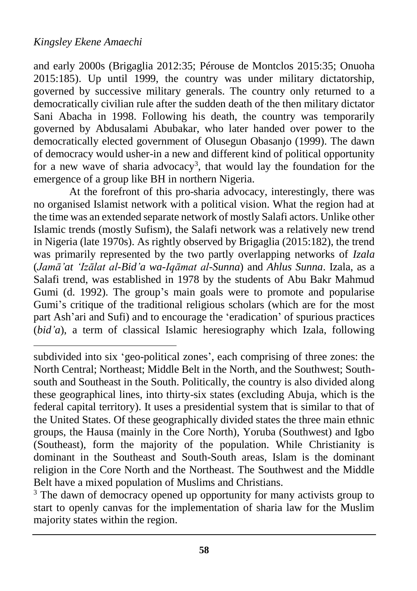$\overline{a}$ 

and early 2000s (Brigaglia 2012:35; Pérouse de Montclos 2015:35; Onuoha 2015:185). Up until 1999, the country was under military dictatorship, governed by successive military generals. The country only returned to a democratically civilian rule after the sudden death of the then military dictator Sani Abacha in 1998. Following his death, the country was temporarily governed by Abdusalami Abubakar, who later handed over power to the democratically elected government of Olusegun Obasanjo (1999). The dawn of democracy would usher-in a new and different kind of political opportunity for a new wave of sharia advocacy<sup>3</sup>, that would lay the foundation for the emergence of a group like BH in northern Nigeria.

At the forefront of this pro-sharia advocacy, interestingly, there was no organised Islamist network with a political vision. What the region had at the time was an extended separate network of mostly Salafi actors. Unlike other Islamic trends (mostly Sufism), the Salafi network was a relatively new trend in Nigeria (late 1970s). As rightly observed by Brigaglia (2015:182), the trend was primarily represented by the two partly overlapping networks of *Izala*  (*Jamā'at 'Izālat al-Bid'a wa-Iqāmat al-Sunna*) and *Ahlus Sunna*. Izala, as a Salafi trend, was established in 1978 by the students of Abu Bakr Mahmud Gumi (d. 1992). The group's main goals were to promote and popularise Gumi's critique of the traditional religious scholars (which are for the most part Ash'ari and Sufi) and to encourage the 'eradication' of spurious practices (*bid'a*), a term of classical Islamic heresiography which Izala, following

subdivided into six 'geo-political zones', each comprising of three zones: the North Central; Northeast; Middle Belt in the North, and the Southwest; Southsouth and Southeast in the South. Politically, the country is also divided along these geographical lines, into thirty-six states (excluding Abuja, which is the federal capital territory). It uses a presidential system that is similar to that of the United States. Of these geographically divided states the three main ethnic groups, the Hausa (mainly in the Core North), Yoruba (Southwest) and Igbo (Southeast), form the majority of the population. While Christianity is dominant in the Southeast and South-South areas, Islam is the dominant religion in the Core North and the Northeast. The Southwest and the Middle Belt have a mixed population of Muslims and Christians.

<sup>&</sup>lt;sup>3</sup> The dawn of democracy opened up opportunity for many activists group to start to openly canvas for the implementation of sharia law for the Muslim majority states within the region.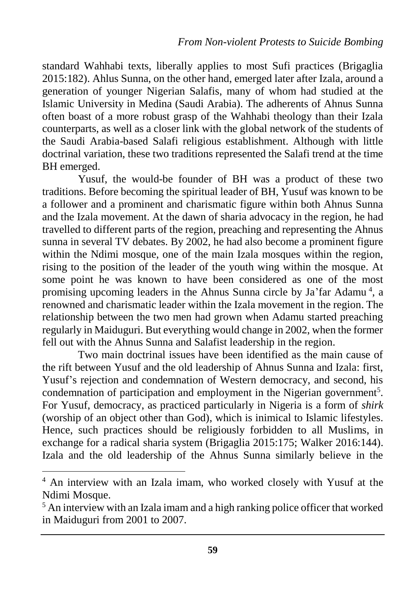standard Wahhabi texts, liberally applies to most Sufi practices (Brigaglia 2015:182). Ahlus Sunna, on the other hand, emerged later after Izala, around a generation of younger Nigerian Salafis, many of whom had studied at the Islamic University in Medina (Saudi Arabia). The adherents of Ahnus Sunna often boast of a more robust grasp of the Wahhabi theology than their Izala counterparts, as well as a closer link with the global network of the students of the Saudi Arabia-based Salafi religious establishment. Although with little doctrinal variation, these two traditions represented the Salafi trend at the time BH emerged.

Yusuf, the would-be founder of BH was a product of these two traditions. Before becoming the spiritual leader of BH, Yusuf was known to be a follower and a prominent and charismatic figure within both Ahnus Sunna and the Izala movement. At the dawn of sharia advocacy in the region, he had travelled to different parts of the region, preaching and representing the Ahnus sunna in several TV debates. By 2002, he had also become a prominent figure within the Ndimi mosque, one of the main Izala mosques within the region, rising to the position of the leader of the youth wing within the mosque. At some point he was known to have been considered as one of the most promising upcoming leaders in the Ahnus Sunna circle by Ja'far Adamu<sup>4</sup>, a renowned and charismatic leader within the Izala movement in the region. The relationship between the two men had grown when Adamu started preaching regularly in Maiduguri. But everything would change in 2002, when the former fell out with the Ahnus Sunna and Salafist leadership in the region.

Two main doctrinal issues have been identified as the main cause of the rift between Yusuf and the old leadership of Ahnus Sunna and Izala: first, Yusuf's rejection and condemnation of Western democracy, and second, his condemnation of participation and employment in the Nigerian government<sup>5</sup>. For Yusuf, democracy, as practiced particularly in Nigeria is a form of *shirk*  (worship of an object other than God), which is inimical to Islamic lifestyles. Hence, such practices should be religiously forbidden to all Muslims, in exchange for a radical sharia system (Brigaglia 2015:175; Walker 2016:144). Izala and the old leadership of the Ahnus Sunna similarly believe in the

<sup>4</sup> An interview with an Izala imam, who worked closely with Yusuf at the Ndimi Mosque.

<sup>&</sup>lt;sup>5</sup> An interview with an Izala imam and a high ranking police officer that worked in Maiduguri from 2001 to 2007.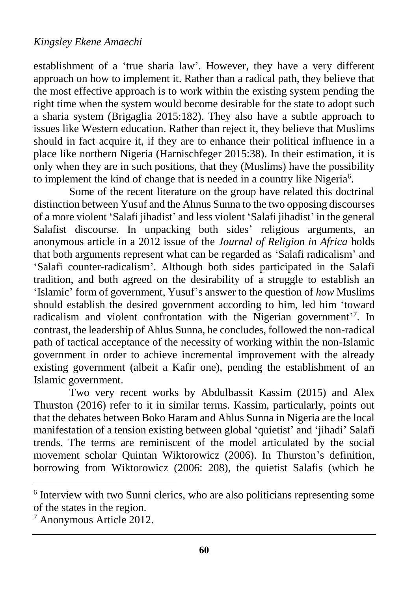establishment of a 'true sharia law'. However, they have a very different approach on how to implement it. Rather than a radical path, they believe that the most effective approach is to work within the existing system pending the right time when the system would become desirable for the state to adopt such a sharia system (Brigaglia 2015:182). They also have a subtle approach to issues like Western education. Rather than reject it, they believe that Muslims should in fact acquire it, if they are to enhance their political influence in a place like northern Nigeria (Harnischfeger 2015:38). In their estimation, it is only when they are in such positions, that they (Muslims) have the possibility to implement the kind of change that is needed in a country like Nigeria<sup>6</sup>.

Some of the recent literature on the group have related this doctrinal distinction between Yusuf and the Ahnus Sunna to the two opposing discourses of a more violent 'Salafi jihadist' and less violent 'Salafi jihadist' in the general Salafist discourse. In unpacking both sides' religious arguments, an anonymous article in a 2012 issue of the *Journal of Religion in Africa* holds that both arguments represent what can be regarded as 'Salafi radicalism' and 'Salafi counter-radicalism'. Although both sides participated in the Salafi tradition, and both agreed on the desirability of a struggle to establish an 'Islamic' form of government, Yusuf's answer to the question of *how* Muslims should establish the desired government according to him, led him 'toward radicalism and violent confrontation with the Nigerian government<sup>'7</sup>. In contrast, the leadership of Ahlus Sunna, he concludes, followed the non-radical path of tactical acceptance of the necessity of working within the non-Islamic government in order to achieve incremental improvement with the already existing government (albeit a Kafir one), pending the establishment of an Islamic government.

Two very recent works by Abdulbassit Kassim (2015) and Alex Thurston (2016) refer to it in similar terms. Kassim, particularly, points out that the debates between Boko Haram and Ahlus Sunna in Nigeria are the local manifestation of a tension existing between global 'quietist' and 'jihadi' Salafi trends. The terms are reminiscent of the model articulated by the social movement scholar Quintan Wiktorowicz (2006). In Thurston's definition, borrowing from Wiktorowicz (2006: 208), the quietist Salafis (which he

<sup>&</sup>lt;sup>6</sup> Interview with two Sunni clerics, who are also politicians representing some of the states in the region.

<sup>7</sup> Anonymous Article 2012.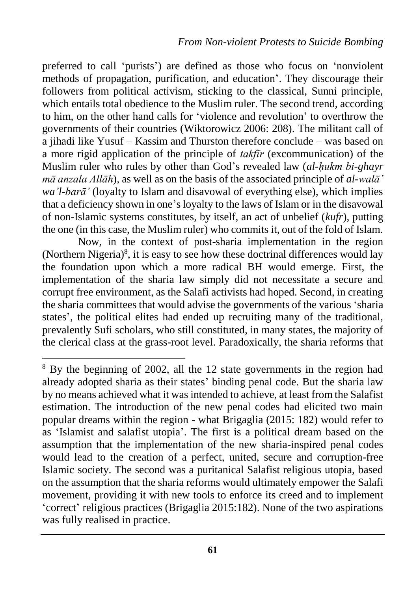preferred to call 'purists') are defined as those who focus on 'nonviolent methods of propagation, purification, and education'. They discourage their followers from political activism, sticking to the classical, Sunni principle, which entails total obedience to the Muslim ruler. The second trend, according to him, on the other hand calls for 'violence and revolution' to overthrow the governments of their countries (Wiktorowicz 2006: 208). The militant call of a jihadi like Yusuf – Kassim and Thurston therefore conclude – was based on a more rigid application of the principle of *takfīr* (excommunication) of the Muslim ruler who rules by other than God's revealed law (*al-ḥukm bi-ghayr mā anzala Allāh*), as well as on the basis of the associated principle of *al-walā' wa'l-barā'* (loyalty to Islam and disavowal of everything else), which implies that a deficiency shown in one's loyalty to the laws of Islam or in the disavowal of non-Islamic systems constitutes, by itself, an act of unbelief (*kufr*), putting the one (in this case, the Muslim ruler) who commits it, out of the fold of Islam.

Now, in the context of post-sharia implementation in the region (Northern Nigeria) $\delta$ , it is easy to see how these doctrinal differences would lay the foundation upon which a more radical BH would emerge. First, the implementation of the sharia law simply did not necessitate a secure and corrupt free environment, as the Salafi activists had hoped. Second, in creating the sharia committees that would advise the governments of the various 'sharia states', the political elites had ended up recruiting many of the traditional, prevalently Sufi scholars, who still constituted, in many states, the majority of the clerical class at the grass-root level. Paradoxically, the sharia reforms that

<sup>&</sup>lt;sup>8</sup> By the beginning of 2002, all the 12 state governments in the region had already adopted sharia as their states' binding penal code. But the sharia law by no means achieved what it was intended to achieve, at least from the Salafist estimation. The introduction of the new penal codes had elicited two main popular dreams within the region - what Brigaglia (2015: 182) would refer to as 'Islamist and salafist utopia'. The first is a political dream based on the assumption that the implementation of the new sharia-inspired penal codes would lead to the creation of a perfect, united, secure and corruption-free Islamic society. The second was a puritanical Salafist religious utopia, based on the assumption that the sharia reforms would ultimately empower the Salafi movement, providing it with new tools to enforce its creed and to implement 'correct' religious practices (Brigaglia 2015:182). None of the two aspirations was fully realised in practice.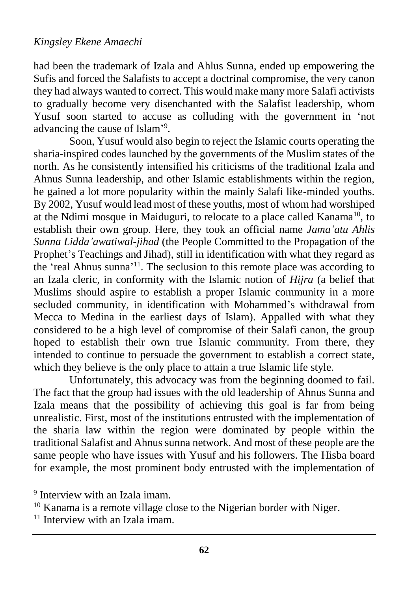had been the trademark of Izala and Ahlus Sunna, ended up empowering the Sufis and forced the Salafists to accept a doctrinal compromise, the very canon they had always wanted to correct. This would make many more Salafi activists to gradually become very disenchanted with the Salafist leadership, whom Yusuf soon started to accuse as colluding with the government in 'not advancing the cause of Islam'<sup>9</sup>.

Soon, Yusuf would also begin to reject the Islamic courts operating the sharia-inspired codes launched by the governments of the Muslim states of the north. As he consistently intensified his criticisms of the traditional Izala and Ahnus Sunna leadership, and other Islamic establishments within the region, he gained a lot more popularity within the mainly Salafi like-minded youths. By 2002, Yusuf would lead most of these youths, most of whom had worshiped at the Ndimi mosque in Maiduguri, to relocate to a place called Kanama<sup>10</sup>, to establish their own group. Here, they took an official name *Jama'atu Ahlis Sunna Lidda'awatiwal-jihad* (the People Committed to the Propagation of the Prophet's Teachings and Jihad), still in identification with what they regard as the 'real Ahnus sunna'<sup>11</sup>. The seclusion to this remote place was according to an Izala cleric, in conformity with the Islamic notion of *Hijra* (a belief that Muslims should aspire to establish a proper Islamic community in a more secluded community, in identification with Mohammed's withdrawal from Mecca to Medina in the earliest days of Islam). Appalled with what they considered to be a high level of compromise of their Salafi canon, the group hoped to establish their own true Islamic community. From there, they intended to continue to persuade the government to establish a correct state, which they believe is the only place to attain a true Islamic life style.

Unfortunately, this advocacy was from the beginning doomed to fail. The fact that the group had issues with the old leadership of Ahnus Sunna and Izala means that the possibility of achieving this goal is far from being unrealistic. First, most of the institutions entrusted with the implementation of the sharia law within the region were dominated by people within the traditional Salafist and Ahnus sunna network. And most of these people are the same people who have issues with Yusuf and his followers. The Hisba board for example, the most prominent body entrusted with the implementation of

<sup>&</sup>lt;sup>9</sup> Interview with an Izala imam.

<sup>&</sup>lt;sup>10</sup> Kanama is a remote village close to the Nigerian border with Niger.

 $11$  Interview with an Izala imam.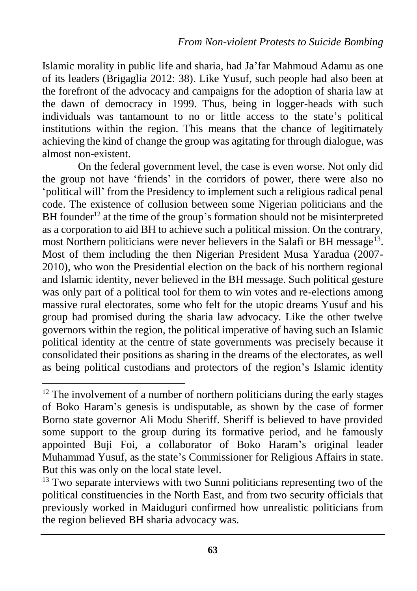Islamic morality in public life and sharia, had Ja'far Mahmoud Adamu as one of its leaders (Brigaglia 2012: 38). Like Yusuf, such people had also been at the forefront of the advocacy and campaigns for the adoption of sharia law at the dawn of democracy in 1999. Thus, being in logger-heads with such individuals was tantamount to no or little access to the state's political institutions within the region. This means that the chance of legitimately achieving the kind of change the group was agitating for through dialogue, was almost non-existent.

On the federal government level, the case is even worse. Not only did the group not have 'friends' in the corridors of power, there were also no 'political will' from the Presidency to implement such a religious radical penal code. The existence of collusion between some Nigerian politicians and the BH founder<sup>12</sup> at the time of the group's formation should not be misinterpreted as a corporation to aid BH to achieve such a political mission. On the contrary, most Northern politicians were never believers in the Salafi or BH message<sup>13</sup>. Most of them including the then Nigerian President Musa Yaradua (2007- 2010), who won the Presidential election on the back of his northern regional and Islamic identity, never believed in the BH message. Such political gesture was only part of a political tool for them to win votes and re-elections among massive rural electorates, some who felt for the utopic dreams Yusuf and his group had promised during the sharia law advocacy. Like the other twelve governors within the region, the political imperative of having such an Islamic political identity at the centre of state governments was precisely because it consolidated their positions as sharing in the dreams of the electorates, as well as being political custodians and protectors of the region's Islamic identity

<sup>&</sup>lt;sup>12</sup> The involvement of a number of northern politicians during the early stages of Boko Haram's genesis is undisputable, as shown by the case of former Borno state governor Ali Modu Sheriff. Sheriff is believed to have provided some support to the group during its formative period, and he famously appointed Buji Foi, a collaborator of Boko Haram's original leader Muhammad Yusuf, as the state's Commissioner for Religious Affairs in state. But this was only on the local state level.

 $13$  Two separate interviews with two Sunni politicians representing two of the political constituencies in the North East, and from two security officials that previously worked in Maiduguri confirmed how unrealistic politicians from the region believed BH sharia advocacy was.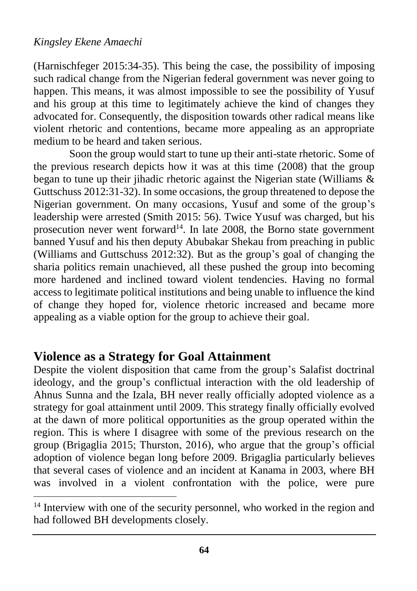$\overline{a}$ 

(Harnischfeger 2015:34-35). This being the case, the possibility of imposing such radical change from the Nigerian federal government was never going to happen. This means, it was almost impossible to see the possibility of Yusuf and his group at this time to legitimately achieve the kind of changes they advocated for. Consequently, the disposition towards other radical means like violent rhetoric and contentions, became more appealing as an appropriate medium to be heard and taken serious.

Soon the group would start to tune up their anti-state rhetoric. Some of the previous research depicts how it was at this time (2008) that the group began to tune up their jihadic rhetoric against the Nigerian state (Williams  $\&$ Guttschuss 2012:31-32). In some occasions, the group threatened to depose the Nigerian government. On many occasions, Yusuf and some of the group's leadership were arrested (Smith 2015: 56). Twice Yusuf was charged, but his prosecution never went forward<sup>14</sup>. In late 2008, the Borno state government banned Yusuf and his then deputy Abubakar Shekau from preaching in public (Williams and Guttschuss 2012:32). But as the group's goal of changing the sharia politics remain unachieved, all these pushed the group into becoming more hardened and inclined toward violent tendencies. Having no formal access to legitimate political institutions and being unable to influence the kind of change they hoped for, violence rhetoric increased and became more appealing as a viable option for the group to achieve their goal.

### **Violence as a Strategy for Goal Attainment**

Despite the violent disposition that came from the group's Salafist doctrinal ideology, and the group's conflictual interaction with the old leadership of Ahnus Sunna and the Izala, BH never really officially adopted violence as a strategy for goal attainment until 2009. This strategy finally officially evolved at the dawn of more political opportunities as the group operated within the region. This is where I disagree with some of the previous research on the group (Brigaglia 2015; Thurston, 2016), who argue that the group's official adoption of violence began long before 2009. Brigaglia particularly believes that several cases of violence and an incident at Kanama in 2003, where BH was involved in a violent confrontation with the police, were pure

<sup>&</sup>lt;sup>14</sup> Interview with one of the security personnel, who worked in the region and had followed BH developments closely.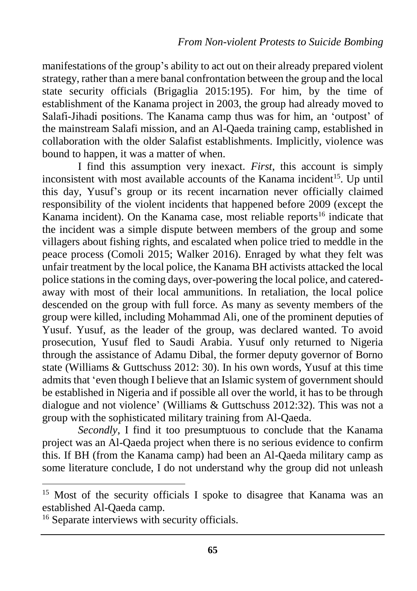manifestations of the group's ability to act out on their already prepared violent strategy, rather than a mere banal confrontation between the group and the local state security officials (Brigaglia 2015:195). For him, by the time of establishment of the Kanama project in 2003, the group had already moved to Salafi-Jihadi positions. The Kanama camp thus was for him, an 'outpost' of the mainstream Salafi mission, and an Al-Qaeda training camp, established in collaboration with the older Salafist establishments. Implicitly, violence was bound to happen, it was a matter of when.

I find this assumption very inexact. *First*, this account is simply inconsistent with most available accounts of the Kanama incident<sup>15</sup>. Up until this day, Yusuf's group or its recent incarnation never officially claimed responsibility of the violent incidents that happened before 2009 (except the Kanama incident). On the Kanama case, most reliable reports<sup>16</sup> indicate that the incident was a simple dispute between members of the group and some villagers about fishing rights, and escalated when police tried to meddle in the peace process (Comoli 2015; Walker 2016). Enraged by what they felt was unfair treatment by the local police, the Kanama BH activists attacked the local police stations in the coming days, over-powering the local police, and cateredaway with most of their local ammunitions. In retaliation, the local police descended on the group with full force. As many as seventy members of the group were killed, including Mohammad Ali, one of the prominent deputies of Yusuf. Yusuf, as the leader of the group, was declared wanted. To avoid prosecution, Yusuf fled to Saudi Arabia. Yusuf only returned to Nigeria through the assistance of Adamu Dibal, the former deputy governor of Borno state (Williams & Guttschuss 2012: 30). In his own words, Yusuf at this time admits that 'even though I believe that an Islamic system of government should be established in Nigeria and if possible all over the world, it has to be through dialogue and not violence' (Williams & Guttschuss 2012:32). This was not a group with the sophisticated military training from Al-Qaeda.

*Secondly*, I find it too presumptuous to conclude that the Kanama project was an Al-Qaeda project when there is no serious evidence to confirm this. If BH (from the Kanama camp) had been an Al-Qaeda military camp as some literature conclude, I do not understand why the group did not unleash

<sup>&</sup>lt;sup>15</sup> Most of the security officials I spoke to disagree that Kanama was an established Al-Qaeda camp.

<sup>&</sup>lt;sup>16</sup> Separate interviews with security officials.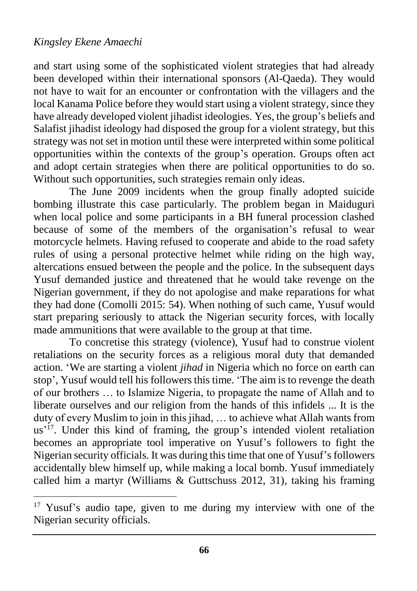$\overline{a}$ 

and start using some of the sophisticated violent strategies that had already been developed within their international sponsors (Al-Qaeda). They would not have to wait for an encounter or confrontation with the villagers and the local Kanama Police before they would start using a violent strategy, since they have already developed violent jihadist ideologies. Yes, the group's beliefs and Salafist jihadist ideology had disposed the group for a violent strategy, but this strategy was not set in motion until these were interpreted within some political opportunities within the contexts of the group's operation. Groups often act and adopt certain strategies when there are political opportunities to do so. Without such opportunities, such strategies remain only ideas.

The June 2009 incidents when the group finally adopted suicide bombing illustrate this case particularly. The problem began in Maiduguri when local police and some participants in a BH funeral procession clashed because of some of the members of the organisation's refusal to wear motorcycle helmets. Having refused to cooperate and abide to the road safety rules of using a personal protective helmet while riding on the high way, altercations ensued between the people and the police. In the subsequent days Yusuf demanded justice and threatened that he would take revenge on the Nigerian government, if they do not apologise and make reparations for what they had done (Comolli 2015: 54). When nothing of such came, Yusuf would start preparing seriously to attack the Nigerian security forces, with locally made ammunitions that were available to the group at that time.

To concretise this strategy (violence), Yusuf had to construe violent retaliations on the security forces as a religious moral duty that demanded action. 'We are starting a violent *jihad* in Nigeria which no force on earth can stop', Yusuf would tell his followers this time. 'The aim is to revenge the death of our brothers … to Islamize Nigeria, to propagate the name of Allah and to liberate ourselves and our religion from the hands of this infidels ... It is the duty of every Muslim to join in this jihad, … to achieve what Allah wants from us<sup>'17</sup>. Under this kind of framing, the group's intended violent retaliation becomes an appropriate tool imperative on Yusuf's followers to fight the Nigerian security officials. It was during this time that one of Yusuf's followers accidentally blew himself up, while making a local bomb. Yusuf immediately called him a martyr (Williams & Guttschuss 2012, 31), taking his framing

<sup>&</sup>lt;sup>17</sup> Yusuf's audio tape, given to me during my interview with one of the Nigerian security officials.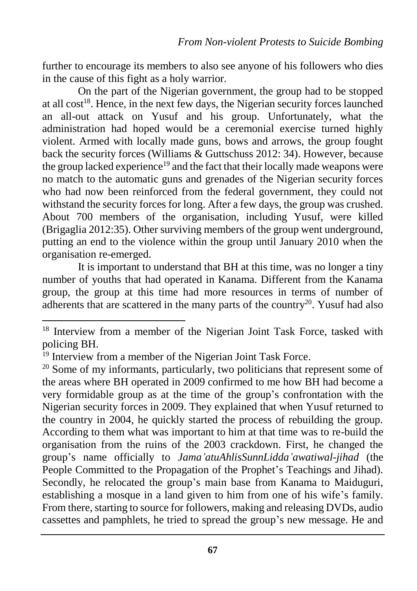further to encourage its members to also see anyone of his followers who dies in the cause of this fight as a holy warrior.

On the part of the Nigerian government, the group had to be stopped at all  $cost^{18}$ . Hence, in the next few days, the Nigerian security forces launched an all-out attack on Yusuf and his group. Unfortunately, what the administration had hoped would be a ceremonial exercise turned highly violent. Armed with locally made guns, bows and arrows, the group fought back the security forces (Williams & Guttschuss 2012: 34). However, because the group lacked experience<sup>19</sup> and the fact that their locally made weapons were no match to the automatic guns and grenades of the Nigerian security forces who had now been reinforced from the federal government, they could not withstand the security forces for long. After a few days, the group was crushed. About 700 members of the organisation, including Yusuf, were killed (Brigaglia 2012:35). Other surviving members of the group went underground, putting an end to the violence within the group until January 2010 when the organisation re-emerged.

It is important to understand that BH at this time, was no longer a tiny number of youths that had operated in Kanama. Different from the Kanama group, the group at this time had more resources in terms of number of adherents that are scattered in the many parts of the country<sup>20</sup>. Yusuf had also

<sup>&</sup>lt;sup>18</sup> Interview from a member of the Nigerian Joint Task Force, tasked with policing BH.

<sup>&</sup>lt;sup>19</sup> Interview from a member of the Nigerian Joint Task Force.

 $20$  Some of my informants, particularly, two politicians that represent some of the areas where BH operated in 2009 confirmed to me how BH had become a very formidable group as at the time of the group's confrontation with the Nigerian security forces in 2009. They explained that when Yusuf returned to the country in 2004, he quickly started the process of rebuilding the group. According to them what was important to him at that time was to re-build the organisation from the ruins of the 2003 crackdown. First, he changed the group's name officially to *Jama'atuAhlisSunnLidda'awatiwal-jihad* (the People Committed to the Propagation of the Prophet's Teachings and Jihad). Secondly, he relocated the group's main base from Kanama to Maiduguri, establishing a mosque in a land given to him from one of his wife's family. From there, starting to source for followers, making and releasing DVDs, audio cassettes and pamphlets, he tried to spread the group's new message. He and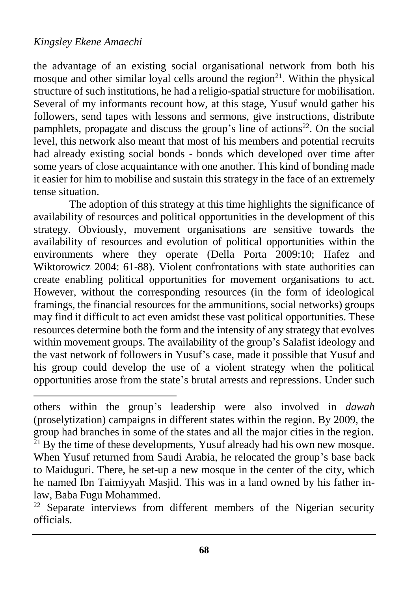$\overline{a}$ 

the advantage of an existing social organisational network from both his mosque and other similar loyal cells around the region<sup>21</sup>. Within the physical structure of such institutions, he had a religio-spatial structure for mobilisation. Several of my informants recount how, at this stage, Yusuf would gather his followers, send tapes with lessons and sermons, give instructions, distribute pamphlets, propagate and discuss the group's line of actions<sup>22</sup>. On the social level, this network also meant that most of his members and potential recruits had already existing social bonds - bonds which developed over time after some years of close acquaintance with one another. This kind of bonding made it easier for him to mobilise and sustain this strategy in the face of an extremely tense situation.

The adoption of this strategy at this time highlights the significance of availability of resources and political opportunities in the development of this strategy. Obviously, movement organisations are sensitive towards the availability of resources and evolution of political opportunities within the environments where they operate (Della Porta 2009:10; Hafez and Wiktorowicz 2004: 61-88). Violent confrontations with state authorities can create enabling political opportunities for movement organisations to act. However, without the corresponding resources (in the form of ideological framings, the financial resources for the ammunitions, social networks) groups may find it difficult to act even amidst these vast political opportunities. These resources determine both the form and the intensity of any strategy that evolves within movement groups. The availability of the group's Salafist ideology and the vast network of followers in Yusuf's case, made it possible that Yusuf and his group could develop the use of a violent strategy when the political opportunities arose from the state's brutal arrests and repressions. Under such

others within the group's leadership were also involved in *dawah*  (proselytization) campaigns in different states within the region. By 2009, the group had branches in some of the states and all the major cities in the region.  $^{21}$  By the time of these developments, Yusuf already had his own new mosque. When Yusuf returned from Saudi Arabia, he relocated the group's base back to Maiduguri. There, he set-up a new mosque in the center of the city, which he named Ibn Taimiyyah Masjid. This was in a land owned by his father inlaw, Baba Fugu Mohammed.

<sup>&</sup>lt;sup>22</sup> Separate interviews from different members of the Nigerian security officials.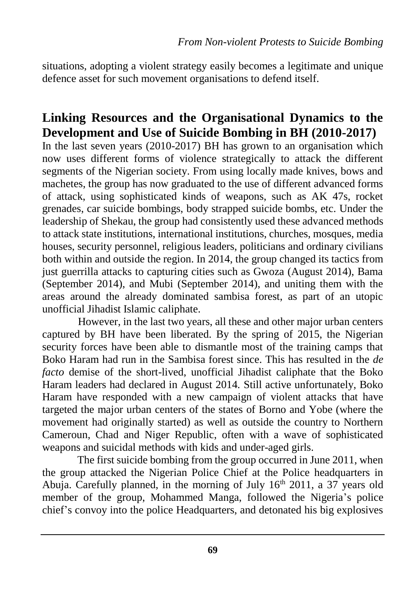situations, adopting a violent strategy easily becomes a legitimate and unique defence asset for such movement organisations to defend itself.

## **Linking Resources and the Organisational Dynamics to the Development and Use of Suicide Bombing in BH (2010-2017)**

In the last seven years (2010-2017) BH has grown to an organisation which now uses different forms of violence strategically to attack the different segments of the Nigerian society. From using locally made knives, bows and machetes, the group has now graduated to the use of different advanced forms of attack, using sophisticated kinds of weapons, such as AK 47s, rocket grenades, car suicide bombings, body strapped suicide bombs, etc. Under the leadership of Shekau, the group had consistently used these advanced methods to attack state institutions, international institutions, churches, mosques, media houses, security personnel, religious leaders, politicians and ordinary civilians both within and outside the region. In 2014, the group changed its tactics from just guerrilla attacks to capturing cities such as Gwoza (August 2014), Bama (September 2014), and Mubi (September 2014), and uniting them with the areas around the already dominated sambisa forest, as part of an utopic unofficial Jihadist Islamic caliphate.

However, in the last two years, all these and other major urban centers captured by BH have been liberated. By the spring of 2015, the Nigerian security forces have been able to dismantle most of the training camps that Boko Haram had run in the Sambisa forest since. This has resulted in the *de facto* demise of the short-lived, unofficial Jihadist caliphate that the Boko Haram leaders had declared in August 2014. Still active unfortunately, Boko Haram have responded with a new campaign of violent attacks that have targeted the major urban centers of the states of Borno and Yobe (where the movement had originally started) as well as outside the country to Northern Cameroun, Chad and Niger Republic, often with a wave of sophisticated weapons and suicidal methods with kids and under-aged girls.

The first suicide bombing from the group occurred in June 2011, when the group attacked the Nigerian Police Chief at the Police headquarters in Abuja. Carefully planned, in the morning of July  $16<sup>th</sup>$  2011, a 37 years old member of the group, Mohammed Manga, followed the Nigeria's police chief's convoy into the police Headquarters, and detonated his big explosives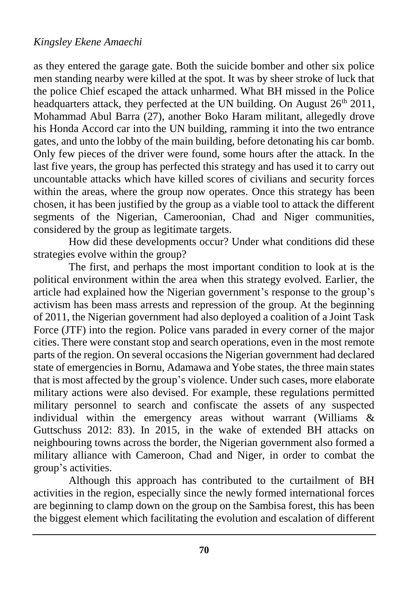as they entered the garage gate. Both the suicide bomber and other six police men standing nearby were killed at the spot. It was by sheer stroke of luck that the police Chief escaped the attack unharmed. What BH missed in the Police headquarters attack, they perfected at the UN building. On August 26<sup>th</sup> 2011, Mohammad Abul Barra (27), another Boko Haram militant, allegedly drove his Honda Accord car into the UN building, ramming it into the two entrance gates, and unto the lobby of the main building, before detonating his car bomb. Only few pieces of the driver were found, some hours after the attack. In the last five years, the group has perfected this strategy and has used it to carry out uncountable attacks which have killed scores of civilians and security forces within the areas, where the group now operates. Once this strategy has been chosen, it has been justified by the group as a viable tool to attack the different segments of the Nigerian, Cameroonian, Chad and Niger communities, considered by the group as legitimate targets.

How did these developments occur? Under what conditions did these strategies evolve within the group?

The first, and perhaps the most important condition to look at is the political environment within the area when this strategy evolved. Earlier, the article had explained how the Nigerian government's response to the group's activism has been mass arrests and repression of the group. At the beginning of 2011, the Nigerian government had also deployed a coalition of a Joint Task Force (JTF) into the region. Police vans paraded in every corner of the major cities. There were constant stop and search operations, even in the most remote parts of the region. On several occasions the Nigerian government had declared state of emergencies in Bornu, Adamawa and Yobe states, the three main states that is most affected by the group's violence. Under such cases, more elaborate military actions were also devised. For example, these regulations permitted military personnel to search and confiscate the assets of any suspected individual within the emergency areas without warrant (Williams & Guttschuss 2012: 83). In 2015, in the wake of extended BH attacks on neighbouring towns across the border, the Nigerian government also formed a military alliance with Cameroon, Chad and Niger, in order to combat the group's activities.

Although this approach has contributed to the curtailment of BH activities in the region, especially since the newly formed international forces are beginning to clamp down on the group on the Sambisa forest, this has been the biggest element which facilitating the evolution and escalation of different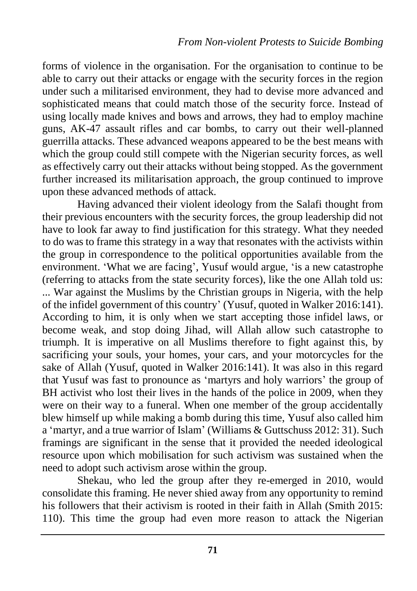forms of violence in the organisation. For the organisation to continue to be able to carry out their attacks or engage with the security forces in the region under such a militarised environment, they had to devise more advanced and sophisticated means that could match those of the security force. Instead of using locally made knives and bows and arrows, they had to employ machine guns, AK-47 assault rifles and car bombs, to carry out their well-planned guerrilla attacks. These advanced weapons appeared to be the best means with which the group could still compete with the Nigerian security forces, as well as effectively carry out their attacks without being stopped. As the government further increased its militarisation approach, the group continued to improve upon these advanced methods of attack.

Having advanced their violent ideology from the Salafi thought from their previous encounters with the security forces, the group leadership did not have to look far away to find justification for this strategy. What they needed to do was to frame this strategy in a way that resonates with the activists within the group in correspondence to the political opportunities available from the environment. 'What we are facing', Yusuf would argue, 'is a new catastrophe (referring to attacks from the state security forces), like the one Allah told us: ... War against the Muslims by the Christian groups in Nigeria, with the help of the infidel government of this country' (Yusuf, quoted in Walker 2016:141). According to him, it is only when we start accepting those infidel laws, or become weak, and stop doing Jihad, will Allah allow such catastrophe to triumph. It is imperative on all Muslims therefore to fight against this, by sacrificing your souls, your homes, your cars, and your motorcycles for the sake of Allah (Yusuf, quoted in Walker 2016:141). It was also in this regard that Yusuf was fast to pronounce as 'martyrs and holy warriors' the group of BH activist who lost their lives in the hands of the police in 2009, when they were on their way to a funeral. When one member of the group accidentally blew himself up while making a bomb during this time, Yusuf also called him a 'martyr, and a true warrior of Islam' (Williams & Guttschuss 2012: 31). Such framings are significant in the sense that it provided the needed ideological resource upon which mobilisation for such activism was sustained when the need to adopt such activism arose within the group.

Shekau, who led the group after they re-emerged in 2010, would consolidate this framing. He never shied away from any opportunity to remind his followers that their activism is rooted in their faith in Allah (Smith 2015: 110). This time the group had even more reason to attack the Nigerian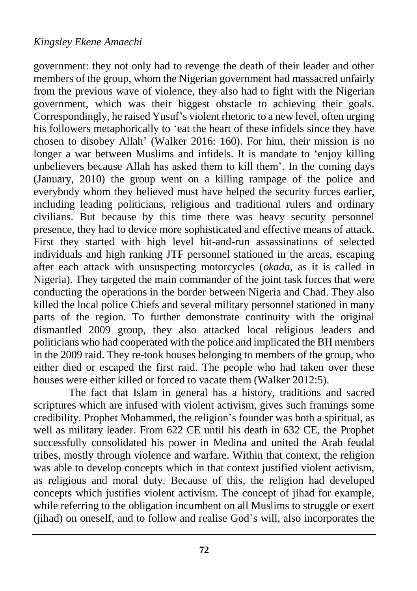government: they not only had to revenge the death of their leader and other members of the group, whom the Nigerian government had massacred unfairly from the previous wave of violence, they also had to fight with the Nigerian government, which was their biggest obstacle to achieving their goals. Correspondingly, he raised Yusuf's violent rhetoric to a new level, often urging his followers metaphorically to 'eat the heart of these infidels since they have chosen to disobey Allah' (Walker 2016: 160). For him, their mission is no longer a war between Muslims and infidels. It is mandate to 'enjoy killing unbelievers because Allah has asked them to kill them'. In the coming days (January, 2010) the group went on a killing rampage of the police and everybody whom they believed must have helped the security forces earlier, including leading politicians, religious and traditional rulers and ordinary civilians. But because by this time there was heavy security personnel presence, they had to device more sophisticated and effective means of attack. First they started with high level hit-and-run assassinations of selected individuals and high ranking JTF personnel stationed in the areas, escaping after each attack with unsuspecting motorcycles (*okada,* as it is called in Nigeria). They targeted the main commander of the joint task forces that were conducting the operations in the border between Nigeria and Chad. They also killed the local police Chiefs and several military personnel stationed in many parts of the region. To further demonstrate continuity with the original dismantled 2009 group, they also attacked local religious leaders and politicians who had cooperated with the police and implicated the BH members in the 2009 raid. They re-took houses belonging to members of the group, who either died or escaped the first raid. The people who had taken over these houses were either killed or forced to vacate them (Walker 2012:5).

The fact that Islam in general has a history, traditions and sacred scriptures which are infused with violent activism, gives such framings some credibility. Prophet Mohammed, the religion's founder was both a spiritual, as well as military leader. From 622 CE until his death in 632 CE, the Prophet successfully consolidated his power in Medina and united the Arab feudal tribes, mostly through violence and warfare. Within that context, the religion was able to develop concepts which in that context justified violent activism, as religious and moral duty. Because of this, the religion had developed concepts which justifies violent activism. The concept of jihad for example, while referring to the obligation incumbent on all Muslims to struggle or exert (jihad) on oneself, and to follow and realise God's will, also incorporates the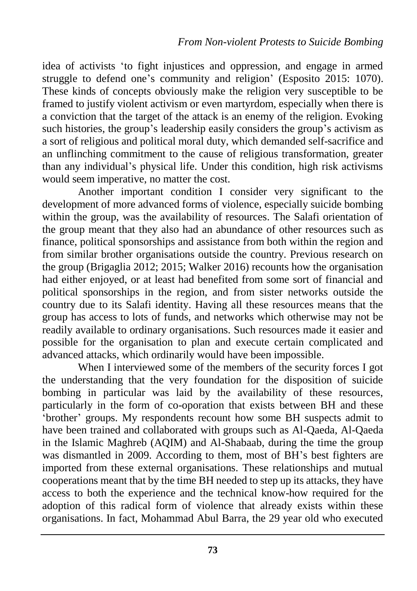idea of activists 'to fight injustices and oppression, and engage in armed struggle to defend one's community and religion' (Esposito 2015: 1070). These kinds of concepts obviously make the religion very susceptible to be framed to justify violent activism or even martyrdom, especially when there is a conviction that the target of the attack is an enemy of the religion. Evoking such histories, the group's leadership easily considers the group's activism as a sort of religious and political moral duty, which demanded self-sacrifice and an unflinching commitment to the cause of religious transformation, greater than any individual's physical life. Under this condition, high risk activisms would seem imperative, no matter the cost.

Another important condition I consider very significant to the development of more advanced forms of violence, especially suicide bombing within the group, was the availability of resources. The Salafi orientation of the group meant that they also had an abundance of other resources such as finance, political sponsorships and assistance from both within the region and from similar brother organisations outside the country. Previous research on the group (Brigaglia 2012; 2015; Walker 2016) recounts how the organisation had either enjoyed, or at least had benefited from some sort of financial and political sponsorships in the region, and from sister networks outside the country due to its Salafi identity. Having all these resources means that the group has access to lots of funds, and networks which otherwise may not be readily available to ordinary organisations. Such resources made it easier and possible for the organisation to plan and execute certain complicated and advanced attacks, which ordinarily would have been impossible.

When I interviewed some of the members of the security forces I got the understanding that the very foundation for the disposition of suicide bombing in particular was laid by the availability of these resources, particularly in the form of co-oporation that exists between BH and these 'brother' groups. My respondents recount how some BH suspects admit to have been trained and collaborated with groups such as Al-Qaeda, Al-Qaeda in the Islamic Maghreb (AQIM) and Al-Shabaab, during the time the group was dismantled in 2009. According to them, most of BH's best fighters are imported from these external organisations. These relationships and mutual cooperations meant that by the time BH needed to step up its attacks, they have access to both the experience and the technical know-how required for the adoption of this radical form of violence that already exists within these organisations. In fact, Mohammad Abul Barra, the 29 year old who executed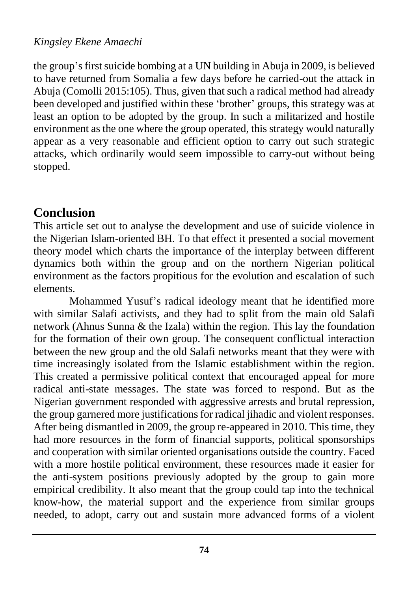the group's first suicide bombing at a UN building in Abuja in 2009, is believed to have returned from Somalia a few days before he carried-out the attack in Abuja (Comolli 2015:105). Thus, given that such a radical method had already been developed and justified within these 'brother' groups, this strategy was at least an option to be adopted by the group. In such a militarized and hostile environment as the one where the group operated, this strategy would naturally appear as a very reasonable and efficient option to carry out such strategic attacks, which ordinarily would seem impossible to carry-out without being stopped.

## **Conclusion**

This article set out to analyse the development and use of suicide violence in the Nigerian Islam-oriented BH. To that effect it presented a social movement theory model which charts the importance of the interplay between different dynamics both within the group and on the northern Nigerian political environment as the factors propitious for the evolution and escalation of such elements.

Mohammed Yusuf's radical ideology meant that he identified more with similar Salafi activists, and they had to split from the main old Salafi network (Ahnus Sunna & the Izala) within the region. This lay the foundation for the formation of their own group. The consequent conflictual interaction between the new group and the old Salafi networks meant that they were with time increasingly isolated from the Islamic establishment within the region. This created a permissive political context that encouraged appeal for more radical anti-state messages. The state was forced to respond. But as the Nigerian government responded with aggressive arrests and brutal repression, the group garnered more justifications for radical jihadic and violent responses. After being dismantled in 2009, the group re-appeared in 2010. This time, they had more resources in the form of financial supports, political sponsorships and cooperation with similar oriented organisations outside the country. Faced with a more hostile political environment, these resources made it easier for the anti-system positions previously adopted by the group to gain more empirical credibility. It also meant that the group could tap into the technical know-how, the material support and the experience from similar groups needed, to adopt, carry out and sustain more advanced forms of a violent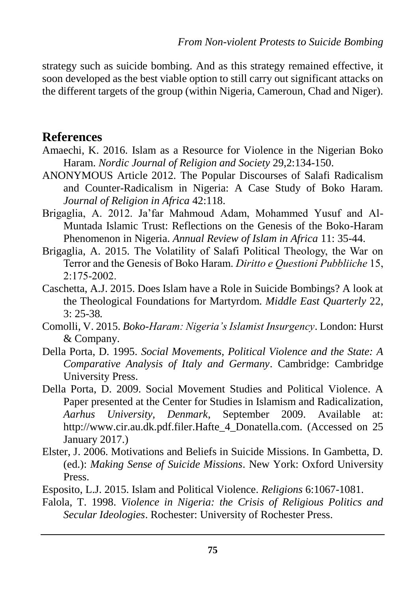strategy such as suicide bombing. And as this strategy remained effective, it soon developed as the best viable option to still carry out significant attacks on the different targets of the group (within Nigeria, Cameroun, Chad and Niger).

#### **References**

- Amaechi, K. 2016. Islam as a Resource for Violence in the Nigerian Boko Haram. *Nordic Journal of Religion and Society* 29,2:134-150.
- ANONYMOUS Article 2012. The Popular Discourses of Salafi Radicalism and Counter-Radicalism in Nigeria: A Case Study of Boko Haram*. Journal of Religion in Africa* 42:118.
- Brigaglia, A. 2012. Ja'far Mahmoud Adam, Mohammed Yusuf and Al-Muntada Islamic Trust: Reflections on the Genesis of the Boko-Haram Phenomenon in Nigeria. *Annual Review of Islam in Africa* 11: 35-44.
- Brigaglia, A. 2015. The Volatility of Salafi Political Theology, the War on Terror and the Genesis of Boko Haram. *Diritto e Questioni Pubbliiche* 15,  $2:175-2002$ .
- Caschetta, A.J. 2015. Does Islam have a Role in Suicide Bombings? A look at the Theological Foundations for Martyrdom. *Middle East Quarterly* 22, 3: 25-38*.*
- Comolli, V. 2015. *Boko-Haram: Nigeria's Islamist Insurgency*. London: Hurst & Company.
- Della Porta, D. 1995. *Social Movements, Political Violence and the State: A Comparative Analysis of Italy and Germany*. Cambridge: Cambridge University Press.
- Della Porta, D. 2009. Social Movement Studies and Political Violence. A Paper presented at the Center for Studies in Islamism and Radicalization, *Aarhus University, Denmark*, September 2009. Available at: [http://www.cir.au.dk.pdf.filer.Hafte\\_4\\_Donatella.com.](http://www.cir.au.dk.pdf.filer.hafte_4_donatella.com/) (Accessed on 25 January 2017.)
- Elster, J. 2006. Motivations and Beliefs in Suicide Missions. In Gambetta, D. (ed.): *Making Sense of Suicide Missions*. New York: Oxford University Press.
- Esposito, L.J. 2015. Islam and Political Violence. *Religions* 6:1067-1081.
- Falola, T. 1998. *Violence in Nigeria: the Crisis of Religious Politics and Secular Ideologies*. Rochester: University of Rochester Press.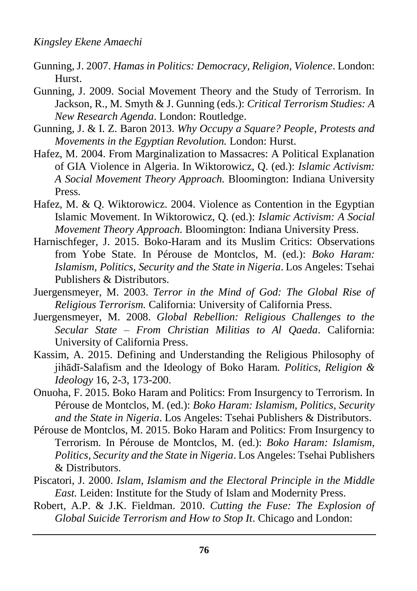- Gunning, J. 2007. *Hamas in Politics: Democracy, Religion, Violence*. London: Hurst.
- Gunning, J. 2009. Social Movement Theory and the Study of Terrorism. In Jackson, R., M. Smyth & J. Gunning (eds.): *Critical Terrorism Studies: A New Research Agenda*. London: Routledge.
- Gunning, J. & I. Z. Baron 2013. *Why Occupy a Square? People, Protests and Movements in the Egyptian Revolution.* London: Hurst.
- Hafez, M. 2004. From Marginalization to Massacres: A Political Explanation of GIA Violence in Algeria. In Wiktorowicz, Q. (ed.): *Islamic Activism: A Social Movement Theory Approach.* Bloomington: Indiana University Press.
- Hafez, M. & Q. Wiktorowicz. 2004. Violence as Contention in the Egyptian Islamic Movement. In Wiktorowicz, Q. (ed.): *Islamic Activism: A Social Movement Theory Approach.* Bloomington: Indiana University Press.
- Harnischfeger, J. 2015. Boko-Haram and its Muslim Critics: Observations from Yobe State. In Pérouse de Montclos, M. (ed.): *Boko Haram: Islamism, Politics, Security and the State in Nigeria*. Los Angeles: Tsehai Publishers & Distributors.
- Juergensmeyer, M. 2003. *Terror in the Mind of God: The Global Rise of Religious Terrorism.* California: University of California Press.
- Juergensmeyer, M. 2008. *Global Rebellion: Religious Challenges to the Secular State – From Christian Militias to Al Qaeda*. California: University of California Press.
- Kassim, A. 2015. Defining and Understanding the Religious Philosophy of jihādī-Salafism and the Ideology of Boko Haram*. Politics, Religion & Ideology* 16, 2-3, 173-200.
- Onuoha, F. 2015. Boko Haram and Politics: From Insurgency to Terrorism. In Pérouse de Montclos, M. (ed.): *Boko Haram: Islamism, Politics, Security and the State in Nigeria*. Los Angeles: Tsehai Publishers & Distributors.
- Pérouse de Montclos, M. 2015. Boko Haram and Politics: From Insurgency to Terrorism. In Pérouse de Montclos, M. (ed.): *Boko Haram: Islamism, Politics, Security and the State in Nigeria*. Los Angeles: Tsehai Publishers & Distributors.
- Piscatori, J. 2000. *Islam, Islamism and the Electoral Principle in the Middle East.* Leiden: Institute for the Study of Islam and Modernity Press.
- Robert, A.P. & J.K. Fieldman. 2010. *Cutting the Fuse: The Explosion of Global Suicide Terrorism and How to Stop It*. Chicago and London: